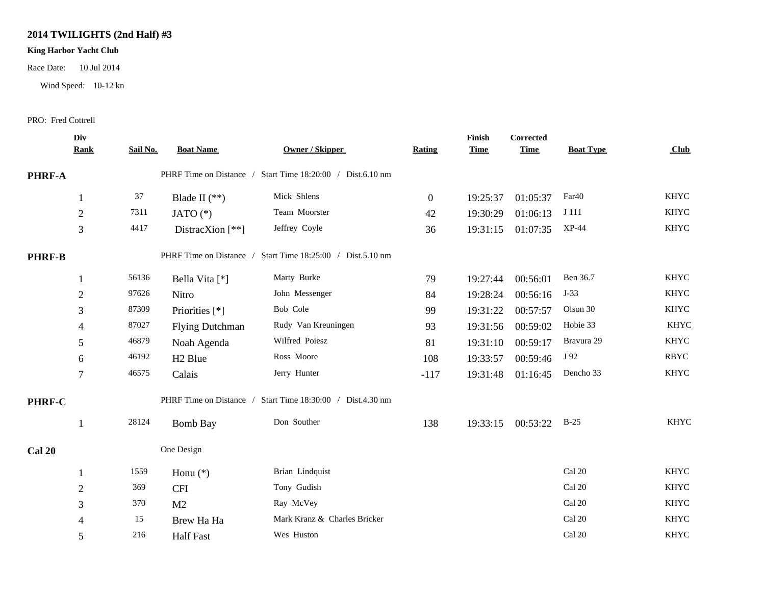## **2014 TWILIGHTS (2nd Half) #3**

## **King Harbor Yacht Club**

Race Date: 10 Jul 2014

Wind Speed: 10-12 kn

## PRO: Fred Cottrell

|               | Div<br><b>Rank</b> | Sail No.                                                      | <b>Boat Name</b>        | <b>Owner / Skipper</b>                                     | Rating         | Finish<br><b>Time</b> | <b>Corrected</b><br><b>Time</b> | <b>Boat Type</b>  | Club        |  |
|---------------|--------------------|---------------------------------------------------------------|-------------------------|------------------------------------------------------------|----------------|-----------------------|---------------------------------|-------------------|-------------|--|
|               |                    |                                                               |                         |                                                            |                |                       |                                 |                   |             |  |
| PHRF-A        |                    |                                                               |                         | PHRF Time on Distance / Start Time 18:20:00 / Dist.6.10 nm |                |                       |                                 |                   |             |  |
|               |                    | 37                                                            | Blade II $(**)$         | Mick Shlens                                                | $\overline{0}$ | 19:25:37              | 01:05:37                        | Far <sub>40</sub> | <b>KHYC</b> |  |
|               | $\overline{2}$     | 7311                                                          | JATO $(*)$              | Team Moorster                                              | 42             | 19:30:29              | 01:06:13                        | J 111             | <b>KHYC</b> |  |
|               | 3                  | 4417                                                          | DistracXion $[**]$      | Jeffrey Coyle                                              | 36             | 19:31:15              | 01:07:35                        | XP-44             | <b>KHYC</b> |  |
| <b>PHRF-B</b> |                    | PHRF Time on Distance /<br>Start Time 18:25:00 / Dist.5.10 nm |                         |                                                            |                |                       |                                 |                   |             |  |
|               |                    | 56136                                                         | Bella Vita [*]          | Marty Burke                                                | 79             | 19:27:44              | 00:56:01                        | Ben 36.7          | <b>KHYC</b> |  |
|               | $\overline{2}$     | 97626                                                         | Nitro                   | John Messenger                                             | 84             | 19:28:24              | 00:56:16                        | $J-33$            | <b>KHYC</b> |  |
|               | 3                  | 87309                                                         | Priorities [*]          | Bob Cole                                                   | 99             | 19:31:22              | 00:57:57                        | Olson 30          | <b>KHYC</b> |  |
|               | $\overline{4}$     | 87027                                                         | <b>Flying Dutchman</b>  | Rudy Van Kreuningen                                        | 93             | 19:31:56              | 00:59:02                        | Hobie 33          | <b>KHYC</b> |  |
|               | 5                  | 46879                                                         | Noah Agenda             | Wilfred Poiesz                                             | 81             | 19:31:10              | 00:59:17                        | Bravura 29        | <b>KHYC</b> |  |
|               | 6                  | 46192                                                         | H <sub>2</sub> Blue     | Ross Moore                                                 | 108            | 19:33:57              | 00:59:46                        | J 92              | <b>RBYC</b> |  |
|               | $\overline{7}$     | 46575                                                         | Calais                  | Jerry Hunter                                               | $-117$         | 19:31:48              | 01:16:45                        | Dencho 33         | <b>KHYC</b> |  |
| PHRF-C        |                    |                                                               | PHRF Time on Distance / | Start Time 18:30:00 / Dist.4.30 nm                         |                |                       |                                 |                   |             |  |
|               |                    | 28124                                                         | <b>Bomb Bay</b>         | Don Souther                                                | 138            | 19:33:15              | 00:53:22                        | $B-25$            | <b>KHYC</b> |  |
| Cal 20        |                    |                                                               | One Design              |                                                            |                |                       |                                 |                   |             |  |
|               |                    | 1559                                                          | Honu $(*)$              | Brian Lindquist                                            |                |                       |                                 | Cal 20            | <b>KHYC</b> |  |
|               | $\overline{2}$     | 369                                                           | <b>CFI</b>              | Tony Gudish                                                |                |                       |                                 | Cal 20            | <b>KHYC</b> |  |
|               | 3                  | 370                                                           | M <sub>2</sub>          | Ray McVey                                                  |                |                       |                                 | Cal 20            | <b>KHYC</b> |  |
|               |                    | 15                                                            | Brew Ha Ha              | Mark Kranz & Charles Bricker                               |                |                       |                                 | Cal 20            | <b>KHYC</b> |  |
|               | 5                  | 216                                                           | <b>Half Fast</b>        | Wes Huston                                                 |                |                       |                                 | Cal 20            | <b>KHYC</b> |  |